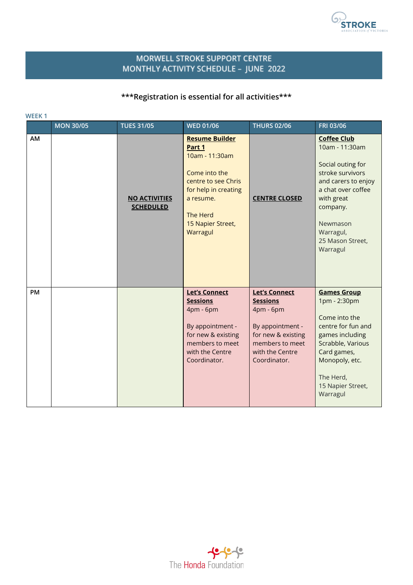

## MORWELL STROKE SUPPORT CENTRE MONTHLY ACTIVITY SCHEDULE - JUNE 2022

## **\*\*\*Registration is essential for all activities\*\*\***

|    | <b>MON 30/05</b> | <b>TUES 31/05</b>                        | <b>WED 01/06</b>                                                                                                                                                            | <b>THURS 02/06</b>                                                                                                                                   | FRI 03/06                                                                                                                                                                                                     |
|----|------------------|------------------------------------------|-----------------------------------------------------------------------------------------------------------------------------------------------------------------------------|------------------------------------------------------------------------------------------------------------------------------------------------------|---------------------------------------------------------------------------------------------------------------------------------------------------------------------------------------------------------------|
| AM |                  | <b>NO ACTIVITIES</b><br><b>SCHEDULED</b> | <b>Resume Builder</b><br>Part 1<br>10am - 11:30am<br>Come into the<br>centre to see Chris<br>for help in creating<br>a resume.<br>The Herd<br>15 Napier Street,<br>Warragul | <b>CENTRE CLOSED</b>                                                                                                                                 | <b>Coffee Club</b><br>10am - 11:30am<br>Social outing for<br>stroke survivors<br>and carers to enjoy<br>a chat over coffee<br>with great<br>company.<br>Newmason<br>Warragul,<br>25 Mason Street,<br>Warragul |
| PM |                  |                                          | <b>Let's Connect</b><br><b>Sessions</b><br>4pm - 6pm<br>By appointment -<br>for new & existing<br>members to meet<br>with the Centre<br>Coordinator.                        | <b>Let's Connect</b><br><b>Sessions</b><br>4pm - 6pm<br>By appointment -<br>for new & existing<br>members to meet<br>with the Centre<br>Coordinator. | <b>Games Group</b><br>1pm - 2:30pm<br>Come into the<br>centre for fun and<br>games including<br>Scrabble, Various<br>Card games,<br>Monopoly, etc.<br>The Herd,<br>15 Napier Street,<br>Warragul              |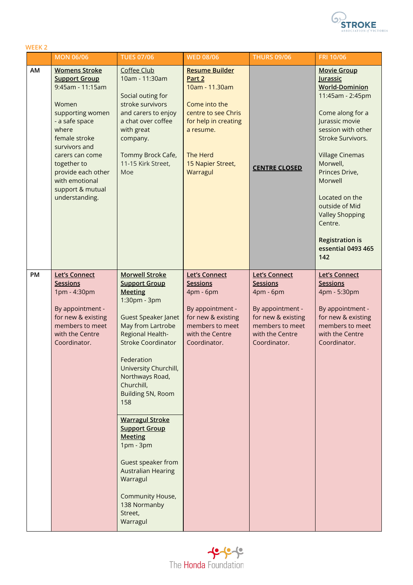

| <b>WEEK2</b> |                                                                                                                                                                                                                                                                            |                                                                                                                                                                                                                                                                                                                                                                                                                                                                                                      |                                                                                                                                                                                    |                                                                                                                                                      |                                                                                                                                                                                                                                                                                                                                                                 |
|--------------|----------------------------------------------------------------------------------------------------------------------------------------------------------------------------------------------------------------------------------------------------------------------------|------------------------------------------------------------------------------------------------------------------------------------------------------------------------------------------------------------------------------------------------------------------------------------------------------------------------------------------------------------------------------------------------------------------------------------------------------------------------------------------------------|------------------------------------------------------------------------------------------------------------------------------------------------------------------------------------|------------------------------------------------------------------------------------------------------------------------------------------------------|-----------------------------------------------------------------------------------------------------------------------------------------------------------------------------------------------------------------------------------------------------------------------------------------------------------------------------------------------------------------|
|              | <b>MON 06/06</b>                                                                                                                                                                                                                                                           | <b>TUES 07/06</b>                                                                                                                                                                                                                                                                                                                                                                                                                                                                                    | <b>WED 08/06</b>                                                                                                                                                                   | <b>THURS 09/06</b>                                                                                                                                   | FRI 10/06                                                                                                                                                                                                                                                                                                                                                       |
| AM           | <b>Womens Stroke</b><br><b>Support Group</b><br>9:45am - 11:15am<br>Women<br>supporting women<br>- a safe space<br>where<br>female stroke<br>survivors and<br>carers can come<br>together to<br>provide each other<br>with emotional<br>support & mutual<br>understanding. | Coffee Club<br>10am - 11:30am<br>Social outing for<br>stroke survivors<br>and carers to enjoy<br>a chat over coffee<br>with great<br>company.<br>Tommy Brock Cafe,<br>11-15 Kirk Street,<br>Moe                                                                                                                                                                                                                                                                                                      | <b>Resume Builder</b><br>Part 2<br>10am - 11.30am<br>Come into the<br>centre to see Chris<br>for help in creating<br>a resume.<br><b>The Herd</b><br>15 Napier Street,<br>Warragul | <b>CENTRE CLOSED</b>                                                                                                                                 | <b>Movie Group</b><br>Jurassic<br><b>World-Dominion</b><br>11:45am - 2:45pm<br>Come along for a<br>Jurassic movie<br>session with other<br>Stroke Survivors.<br><b>Village Cinemas</b><br>Morwell,<br>Princes Drive,<br>Morwell<br>Located on the<br>outside of Mid<br><b>Valley Shopping</b><br>Centre.<br><b>Registration is</b><br>essential 0493 465<br>142 |
| PM           | <b>Let's Connect</b><br><b>Sessions</b><br>1pm - 4:30pm<br>By appointment -<br>for new & existing<br>members to meet<br>with the Centre<br>Coordinator.                                                                                                                    | <b>Morwell Stroke</b><br><b>Support Group</b><br><b>Meeting</b><br>1:30pm - 3pm<br><b>Guest Speaker Janet</b><br>May from Lartrobe<br>Regional Health-<br><b>Stroke Coordinator</b><br>Federation<br>University Churchill,<br>Northways Road,<br>Churchill,<br>Building 5N, Room<br>158<br><b>Warragul Stroke</b><br><b>Support Group</b><br><b>Meeting</b><br>$1pm - 3pm$<br>Guest speaker from<br><b>Australian Hearing</b><br>Warragul<br>Community House,<br>138 Normanby<br>Street,<br>Warragul | <b>Let's Connect</b><br><b>Sessions</b><br>4pm - 6pm<br>By appointment -<br>for new & existing<br>members to meet<br>with the Centre<br>Coordinator.                               | <b>Let's Connect</b><br><b>Sessions</b><br>4pm - 6pm<br>By appointment -<br>for new & existing<br>members to meet<br>with the Centre<br>Coordinator. | <b>Let's Connect</b><br><b>Sessions</b><br>4pm - 5:30pm<br>By appointment -<br>for new & existing<br>members to meet<br>with the Centre<br>Coordinator.                                                                                                                                                                                                         |

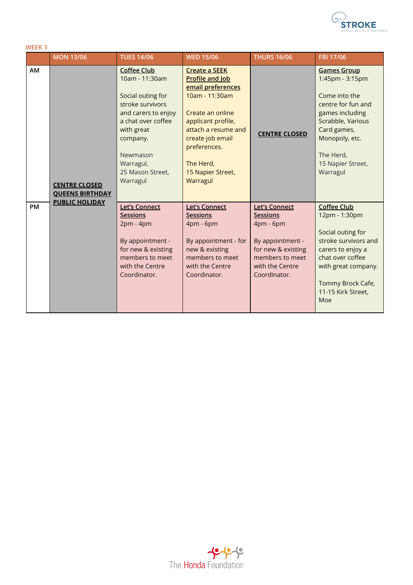

| <b>WEEK3</b> |                                                |                                                                                                                                                                                                               |                                                                                                                                                                                                                                          |                                                                                                                                                      |                                                                                                                                                                                                     |  |  |
|--------------|------------------------------------------------|---------------------------------------------------------------------------------------------------------------------------------------------------------------------------------------------------------------|------------------------------------------------------------------------------------------------------------------------------------------------------------------------------------------------------------------------------------------|------------------------------------------------------------------------------------------------------------------------------------------------------|-----------------------------------------------------------------------------------------------------------------------------------------------------------------------------------------------------|--|--|
|              | <b>MON 13/06</b>                               | <b>TUES 14/06</b>                                                                                                                                                                                             | <b>WED 15/06</b>                                                                                                                                                                                                                         | <b>THURS 16/06</b>                                                                                                                                   | FRI 17/06                                                                                                                                                                                           |  |  |
| AM           | <b>CENTRE CLOSED</b><br><b>QUEENS BIRTHDAY</b> | <b>Coffee Club</b><br>10am - 11:30am<br>Social outing for<br>stroke survivors<br>and carers to enjoy<br>a chat over coffee<br>with great<br>company.<br>Newmason<br>Warragul,<br>25 Mason Street,<br>Warragul | <b>Create a SEEK</b><br><b>Profile and Job</b><br>email preferences<br>10am - 11:30am<br>Create an online<br>applicant profile,<br>attach a resume and<br>create job email<br>preferences.<br>The Herd,<br>15 Napier Street,<br>Warragul | <b>CENTRE CLOSED</b>                                                                                                                                 | <b>Games Group</b><br>1:45pm - 3:15pm<br>Come into the<br>centre for fun and<br>games including<br>Scrabble, Various<br>Card games,<br>Monopoly, etc.<br>The Herd,<br>15 Napier Street,<br>Warragul |  |  |
| <b>PM</b>    | <b>PUBLIC HOLIDAY</b>                          | <b>Let's Connect</b><br><b>Sessions</b><br>$2pm - 4pm$<br>By appointment -<br>for new & existing<br>members to meet<br>with the Centre<br>Coordinator.                                                        | <b>Let's Connect</b><br><b>Sessions</b><br>4pm - 6pm<br>By appointment - for<br>new & existing<br>members to meet<br>with the Centre<br>Coordinator.                                                                                     | <b>Let's Connect</b><br><b>Sessions</b><br>4pm - 6pm<br>By appointment -<br>for new & existing<br>members to meet<br>with the Centre<br>Coordinator. | <b>Coffee Club</b><br>12pm - 1:30pm<br>Social outing for<br>stroke survivors and<br>carers to enjoy a<br>chat over coffee<br>with great company.<br>Tommy Brock Cafe,<br>11-15 Kirk Street,<br>Moe  |  |  |

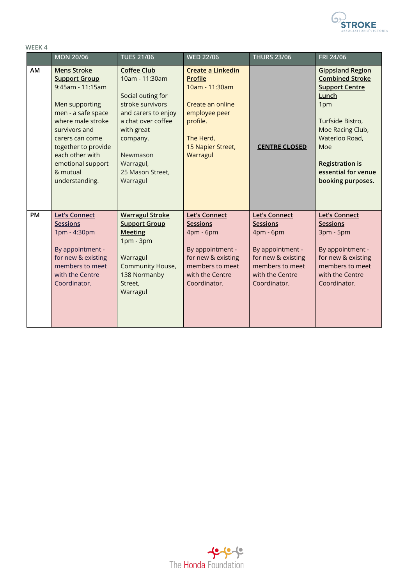

| WEEK4     |                                                                                                                                                                                                                                                              |                                                                                                                                                                                                               |                                                                                                                                                      |                                                                                                                                                      |                                                                                                                                                                                                                                   |  |
|-----------|--------------------------------------------------------------------------------------------------------------------------------------------------------------------------------------------------------------------------------------------------------------|---------------------------------------------------------------------------------------------------------------------------------------------------------------------------------------------------------------|------------------------------------------------------------------------------------------------------------------------------------------------------|------------------------------------------------------------------------------------------------------------------------------------------------------|-----------------------------------------------------------------------------------------------------------------------------------------------------------------------------------------------------------------------------------|--|
|           | <b>MON 20/06</b>                                                                                                                                                                                                                                             | <b>TUES 21/06</b>                                                                                                                                                                                             | <b>WED 22/06</b>                                                                                                                                     | <b>THURS 23/06</b>                                                                                                                                   | FRI 24/06                                                                                                                                                                                                                         |  |
| AM        | <b>Mens Stroke</b><br><b>Support Group</b><br>9:45am - 11:15am<br>Men supporting<br>men - a safe space<br>where male stroke<br>survivors and<br>carers can come<br>together to provide<br>each other with<br>emotional support<br>& mutual<br>understanding. | <b>Coffee Club</b><br>10am - 11:30am<br>Social outing for<br>stroke survivors<br>and carers to enjoy<br>a chat over coffee<br>with great<br>company.<br>Newmason<br>Warragul,<br>25 Mason Street,<br>Warragul | Create a Linkedin<br><b>Profile</b><br>10am - 11:30am<br>Create an online<br>employee peer<br>profile.<br>The Herd,<br>15 Napier Street,<br>Warragul | <b>CENTRE CLOSED</b>                                                                                                                                 | <b>Gippsland Region</b><br><b>Combined Stroke</b><br><b>Support Centre</b><br>Lunch<br>1pm<br>Turfside Bistro,<br>Moe Racing Club,<br>Waterloo Road,<br>Moe<br><b>Registration is</b><br>essential for venue<br>booking purposes. |  |
| <b>PM</b> | <b>Let's Connect</b><br><b>Sessions</b><br>1pm - 4:30pm<br>By appointment -<br>for new & existing<br>members to meet<br>with the Centre<br>Coordinator.                                                                                                      | <b>Warragul Stroke</b><br><b>Support Group</b><br><b>Meeting</b><br>$1pm - 3pm$<br>Warragul<br>Community House,<br>138 Normanby<br>Street,<br>Warragul                                                        | <b>Let's Connect</b><br><b>Sessions</b><br>4pm - 6pm<br>By appointment -<br>for new & existing<br>members to meet<br>with the Centre<br>Coordinator. | <b>Let's Connect</b><br><b>Sessions</b><br>4pm - 6pm<br>By appointment -<br>for new & existing<br>members to meet<br>with the Centre<br>Coordinator. | <b>Let's Connect</b><br><b>Sessions</b><br>3pm - 5pm<br>By appointment -<br>for new & existing<br>members to meet<br>with the Centre<br>Coordinator.                                                                              |  |